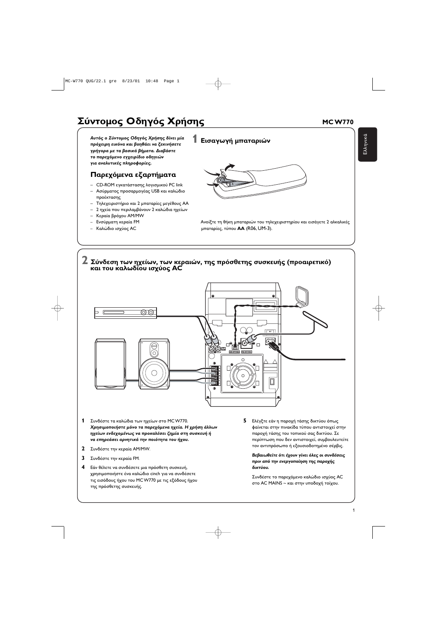1

## $\sum$ ύντομος Οδηγός Χρήσης <u>του Καντραφούρ</u> του Μανικού

Αυτός ο Σύντομος Οδηγός Χρήσης δίνει μία πρόχειρη εικόνα και βοηθάει να ξεκινήσετε **γρήγορα με τα βασικά βήματα. Διαβάστε** το παρεχόμενο εγχειρίδιο οδηγιών για αναλυτικές πληροφορίες.

#### Παρεχόμενα εξαρτήματα

- CD-ROM εγκατάστασης λογισμικού PC link
- Ασύρματος προσαρμογέας USB και καλώδιο προέκτασης
- Τηλεχειριστήριο και 2 μπαταρίες μεγέθους ΑΑ
- 2 ηχεία που περιλαμβάνουν 2 καλώδια ηχείων
- Κεραία βρόχου ΑΜ/ΜW
- Ενσύρματη κεραία FM
- Καλώδιο ισχύος AC

1 Εισαγωγή μπαταριών



 $E\lambda\lambda$ n $\nu$ ı

`S



Ανοίξτε τη θήκη μπαταριών του τηλεχειριστηρίου και εισάγετε 2 αλκαλικές μπαταρίες, τύπου **ΑΑ** (R06, UM-3).

#### 2 Σύνδεση των ηχείων, των κεραιών, της πρόσθετης συσκευής (προαιρετικό) *και του καλωδίου ισχύος AC*



- 1 Συνδέστε τα καλώδια των ηχείων στο MCW770. Χρησιμοποιήστε μόνο τα παρεχόμενα ηχεία. Η χρήση άλλων ηχείων ενδεχομένως να προκαλέσει ζημία στη συσκευή ή να επηρεάσει αρνητικά την ποιότητα του ήχου.
- **2** Συνδέστε την κεραία ΑΜ/ΜW.
- **3** Συνδέστε την κεραία FM.
- 

**5** – Ελέγξτε εάν η παροχή τάσης δικτύου όπως φαίνεται στην πινακίδα τύπου αντιστοιχεί στην παροχή τάσης του τοπικού σας δικτύου. Σε περίπτωση που δεν αντιστοιχεί, συμβουλευτείτε τον αντιπρόσωπο ή εξουσιοδοτημένο σέρβις.

**Βεβαιωθείτε ότι έχουν γίνει όλες οι συνδέσεις** πριν από την ενεργοποίηση της παροχής

**4** Εάν θέλετε να συνδέσετε μια πρόσθετη συσκευή, χρησιμοποιήστε ένα καλώδιο cinch για να συνδέσετε τις εισόδους ήχου του MC W770 με τις εξόδους ήχου της πρόσθετης συσκευής.

#### $\delta$ ικτύου.

Συνδέστε το παρεχόμενο καλώδιο ισχύος AC στο AC MAINS ~ και στην υποδοχή τοίχου.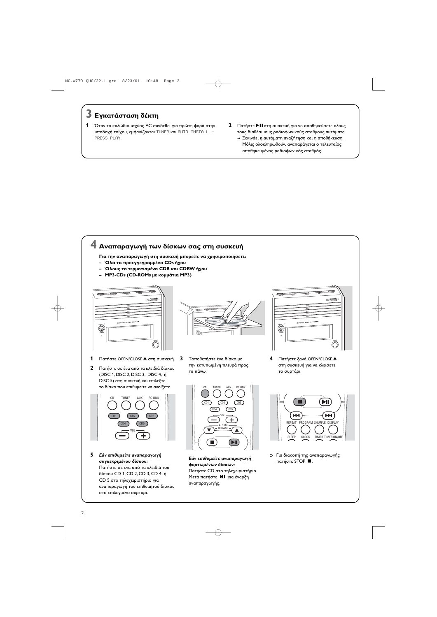2

Πατήστε CD στο τηλεχειριστήριο. Μετά πατήστε **MI** για έναρξη αναπαραγωγής.



Πατήστε σε ένα από τα κλειδιά του δίσκου CD 1, CD 2, CD 3, CD 4, ή CD 5 στο τηλεχειριστήριο για αναπαραγωγή του επιθυμητού δίσκου στο επιλεγμένο συρτάρι.



# $\overline{\mathbf{3}}$  Εγκατάσταση δέκτη

- 1 Όταν το καλώδιο ισχύος AC συνδεθεί για πρώτη φορά στην υποδοχή τοίχου, εμφανίζονται TUNER και AUTO INSTALL -PRESS PLAY.
- **2** Πατήστε ▶ΙΙ στη συσκευή για να αποθηκεύσετε όλους τους διαθέσιμους ραδιοφωνικούς σταθμούς αυτόματα.
	- → Ξεκινάει η αυτόματη αναζήτηση και η αποθήκευση. Μόλις ολοκληρωθούν, αναπαράγεται ο τελευταίος αποθηκευμένος ραδιοφωνικός σταθμός.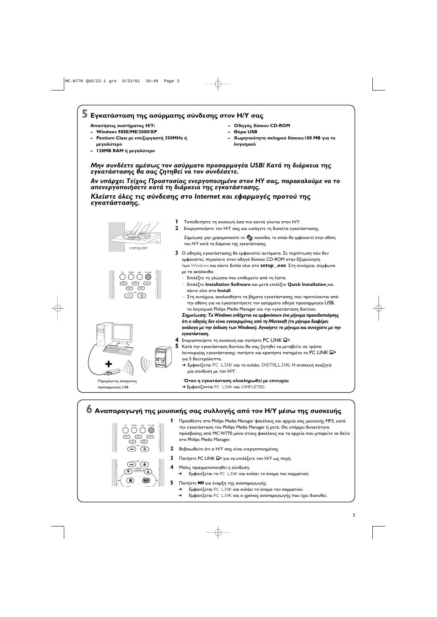MC-W770 QUG/22.1 gre 8/23/01 10:48 Page 3



# $\overline{\mathbf{5}}$  Εγκατάσταση της ασύρματης σύνδεσης στον Η/Υ σας

Απαιτήσεις συστήματος Η/Υ:

- Windows 98SE/ME/2000/XP
- Pentium Class με επεξεργαστή 350MHz ή  $\blacksquare$ μεγαλύτερο
- 128MB RAM ή μεγαλύτερο
- Οδηγός δίσκου CD-ROM
- Θύρα USB
- Χωρητικότητα σκληρού δίσκου: 100 MB για το λογισμικό

#### Μην συνδέετε αμέσως τον ασύρματο προσαρμογέα USB! Κατά τη διάρκεια της εγκατάστασης θα σας ζητηθεί να τον συνδέσετε.

Αν υπάρχει Τείχος Προστασίας ενεργοποιημένο στον ΗΥ σας, παρακαλούμε να το απενεργοποιήσετε κατά τη διάρκεια της εγκατάστασης.

Κλείστε όλες τις σύνδεσης στο Internet και εφαρμογές προτού της εγκατάστασης.



 $\overline{CD3}$ 

 $\overline{CD5}$ 

 $\sqrt{+}$ 

 $\overline{CD2}$ 

- 1 Τοποθετήστε τη συσκευή όσο πιο κοντά γίνεται στον Η/Υ.
- 2 Ενεργοποιήστε τον Η/Υ σας και εισάγετε τη δισκέτα εγκατάστασης.

Σημείωση: μην χρησιμοποιείτε το Φ εικονίδιο, το οποίο θα εμφανιστεί στην οθόνη του Η/Υ κατά τη διάρκεια της εγκατάστασης.

- 3 Ο οδηγός εγκατάστασης θα εμφανιστεί αυτόματα. Σε περίπτωση που δεν εμφανιστεί, πηγαίνετε στον οδηγό δίσκου CD-ROM στην Εξερεύνηση των Windows και κάντε διπλό κλικ στο setup\_.exe. Στη συνέχεια, σύμφωνα με τα ακόλουθα:
	- Επιλέξτε τη γλώσσα που επιθυμείτε από τη λίστα.
	- Επιλέξτε Installation Software και μετά επιλέξτε Quick Installation και κάντε κλικ στο Install.
- Στη συνέχεια, ακολουθήστε τα βήματα εγκατάστασης που προτείνονται από την οθόνη για να εγκαταστήσετε τον ασύρματο οδηγό προσαρμογέα USB, το λογισμικό Philips Media Manager και την εγκατάσταση δικτύου. Σημείωση: Τα Windows ενδέχεται να εμφανίσουν ένα μήνυμα προειδοποίησης ότι ο οδηγός δεν είναι εγκεκριμένος από τη Microsoft (το μήνυμα διαφέρει ανάλογα με την έκδοση των Windows). Αγνοήστε το μήνυμα και συνεχίστε με την εγκατάσταση.
- 4 Ενεργοποιήστε τη συσκευή και πατήστε PC LINK Ω».
- $\mathsf S$  Κατά την εγκατάσταση δικτύου θα σας ζητηθεί να μεταβείτε σε τρόπο λειτουργίας εγκατάστασης: πατήστε και κρατήστε πατημένο το PC LINK  $\Box$ <sup>31</sup> για 5 δευτερόλεπτα.
	- > Εμφανίζεται PC LINK και το κυλάει INSTALLING. Η συσκευή αναζητά μία σύνδεση με τον Η/Υ.

Όταν η εγκατάσταση ολοκληρωθεί με επιτυχία: > Εμφανίζονται PC LINK και COMPLETED.

### Ο Αναπαραγωγή της μουσικής σας συλλογής από τον Η/Υ μέσω της συσκευής

| PC LINK<br>AUX<br>CD<br>TUNER<br>CD <sub>2</sub><br>CD <sub>3</sub><br>CD<br>CD <sub>5</sub><br>CD<br>$-v_{0L}$ - |  |
|-------------------------------------------------------------------------------------------------------------------|--|
| VOI                                                                                                               |  |

Παρεχόμενος ασύρματοι

**προσαρμογέας USB** 

1 Προσθέστε στο Philips Media Manager φακέλους και αρχεία σας μουσικής MP3, κατά την εγκατάσταση του Philips Media Manager ή μετά. Θα υπάρχει δυνατότητα πρόσβασης από MCW770 μόνο στους φακέλους και τα αρχεία που μπορείτε να δείτε στο Philips Media Manager.

- 2 Βεβαιωθείτε ότι ο Η/Υ σας είναι ενεργοποιημένος.
- 3 Πατήστε PC LINK Ω<sup>η</sup> για να επιλέξετε τον Η/Υ ως πηγή.
	- Μόλις πραγματοποιηθεί η σύνδεση:



- Εμφανίζεται το PC LINK και κυλάει το όνομα του κομματιού.
- Πατήστε **MI** για έναρξη της αναπαραγωγής.
	- $\rightarrow$ Εμφανίζεται PC LINK και κυλάει το όνομα του κομματιού.
	- $\rightarrow$ Εμφανίζεται PC LINK και ο χρόνος αναπαραγωγής που έχει διανυθεί.

 $\overline{\mathbf{3}}$